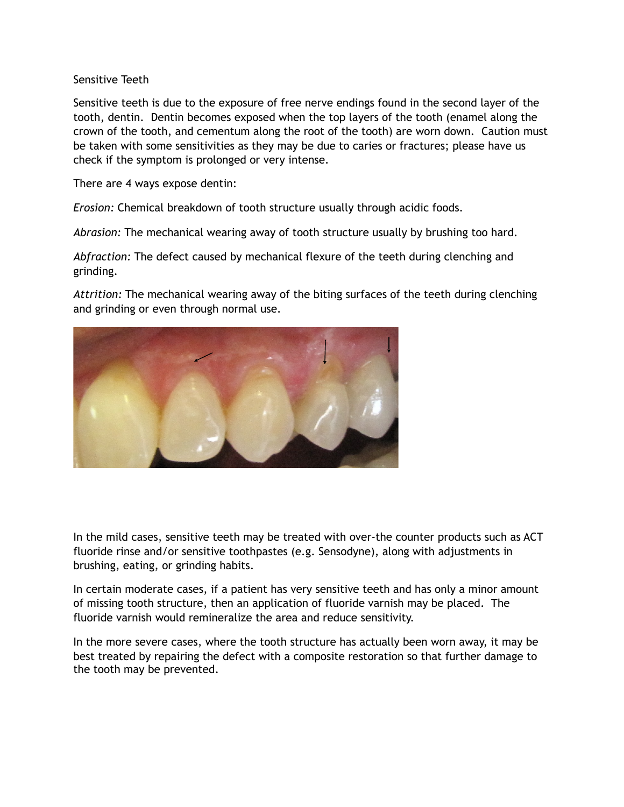## Sensitive Teeth

Sensitive teeth is due to the exposure of free nerve endings found in the second layer of the tooth, dentin. Dentin becomes exposed when the top layers of the tooth (enamel along the crown of the tooth, and cementum along the root of the tooth) are worn down. Caution must be taken with some sensitivities as they may be due to caries or fractures; please have us check if the symptom is prolonged or very intense.

There are 4 ways expose dentin:

*Erosion:* Chemical breakdown of tooth structure usually through acidic foods.

*Abrasion:* The mechanical wearing away of tooth structure usually by brushing too hard.

*Abfraction:* The defect caused by mechanical flexure of the teeth during clenching and grinding.

*Attrition:* The mechanical wearing away of the biting surfaces of the teeth during clenching and grinding or even through normal use.



In the mild cases, sensitive teeth may be treated with over-the counter products such as ACT fluoride rinse and/or sensitive toothpastes (e.g. Sensodyne), along with adjustments in brushing, eating, or grinding habits.

In certain moderate cases, if a patient has very sensitive teeth and has only a minor amount of missing tooth structure, then an application of fluoride varnish may be placed. The fluoride varnish would remineralize the area and reduce sensitivity.

In the more severe cases, where the tooth structure has actually been worn away, it may be best treated by repairing the defect with a composite restoration so that further damage to the tooth may be prevented.